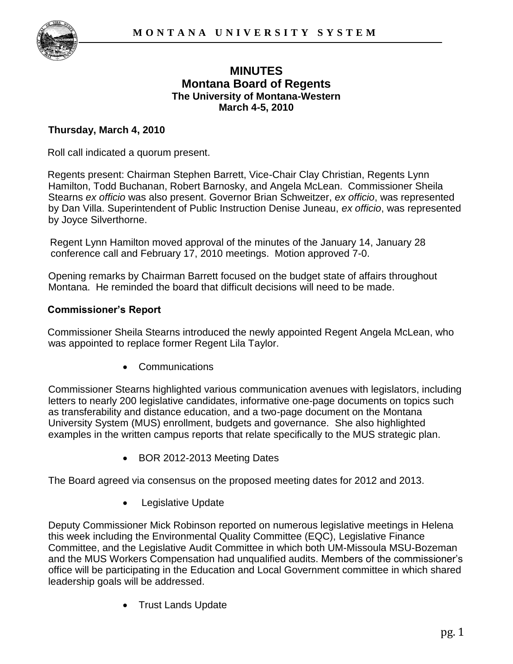

# **MINUTES Montana Board of Regents The University of Montana-Western March 4-5, 2010**

# **Thursday, March 4, 2010**

Roll call indicated a quorum present.

Regents present: Chairman Stephen Barrett, Vice-Chair Clay Christian, Regents Lynn Hamilton, Todd Buchanan, Robert Barnosky, and Angela McLean. Commissioner Sheila Stearns *ex officio* was also present. Governor Brian Schweitzer, *ex officio*, was represented by Dan Villa. Superintendent of Public Instruction Denise Juneau, *ex officio*, was represented by Joyce Silverthorne.

Regent Lynn Hamilton moved approval of the minutes of the January 14, January 28 conference call and February 17, 2010 meetings. Motion approved 7-0.

Opening remarks by Chairman Barrett focused on the budget state of affairs throughout Montana. He reminded the board that difficult decisions will need to be made.

## **Commissioner's Report**

Commissioner Sheila Stearns introduced the newly appointed Regent Angela McLean, who was appointed to replace former Regent Lila Taylor.

Communications

Commissioner Stearns highlighted various communication avenues with legislators, including letters to nearly 200 legislative candidates, informative one-page documents on topics such as transferability and distance education, and a two-page document on the Montana University System (MUS) enrollment, budgets and governance. She also highlighted examples in the written campus reports that relate specifically to the MUS strategic plan.

• BOR 2012-2013 Meeting Dates

The Board agreed via consensus on the proposed meeting dates for 2012 and 2013.

• Legislative Update

Deputy Commissioner Mick Robinson reported on numerous legislative meetings in Helena this week including the Environmental Quality Committee (EQC), Legislative Finance Committee, and the Legislative Audit Committee in which both UM-Missoula MSU-Bozeman and the MUS Workers Compensation had unqualified audits. Members of the commissioner's office will be participating in the Education and Local Government committee in which shared leadership goals will be addressed.

Trust Lands Update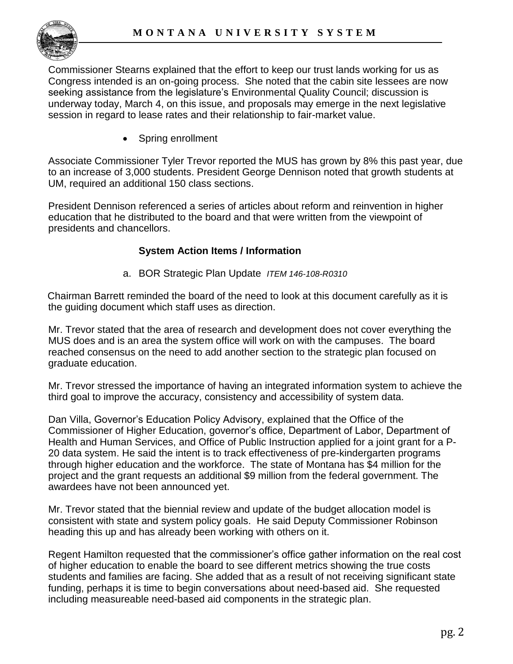

Commissioner Stearns explained that the effort to keep our trust lands working for us as Congress intended is an on-going process. She noted that the cabin site lessees are now seeking assistance from the legislature's Environmental Quality Council; discussion is underway today, March 4, on this issue, and proposals may emerge in the next legislative session in regard to lease rates and their relationship to fair-market value.

Spring enrollment

Associate Commissioner Tyler Trevor reported the MUS has grown by 8% this past year, due to an increase of 3,000 students. President George Dennison noted that growth students at UM, required an additional 150 class sections.

President Dennison referenced a series of articles about reform and reinvention in higher education that he distributed to the board and that were written from the viewpoint of presidents and chancellors.

# **System Action Items / Information**

a. BOR Strategic Plan Update *ITEM 146-108-R0310* 

Chairman Barrett reminded the board of the need to look at this document carefully as it is the guiding document which staff uses as direction.

Mr. Trevor stated that the area of research and development does not cover everything the MUS does and is an area the system office will work on with the campuses. The board reached consensus on the need to add another section to the strategic plan focused on graduate education.

Mr. Trevor stressed the importance of having an integrated information system to achieve the third goal to improve the accuracy, consistency and accessibility of system data.

Dan Villa, Governor's Education Policy Advisory, explained that the Office of the Commissioner of Higher Education, governor's office, Department of Labor, Department of Health and Human Services, and Office of Public Instruction applied for a joint grant for a P-20 data system. He said the intent is to track effectiveness of pre-kindergarten programs through higher education and the workforce. The state of Montana has \$4 million for the project and the grant requests an additional \$9 million from the federal government. The awardees have not been announced yet.

Mr. Trevor stated that the biennial review and update of the budget allocation model is consistent with state and system policy goals. He said Deputy Commissioner Robinson heading this up and has already been working with others on it.

Regent Hamilton requested that the commissioner's office gather information on the real cost of higher education to enable the board to see different metrics showing the true costs students and families are facing. She added that as a result of not receiving significant state funding, perhaps it is time to begin conversations about need-based aid. She requested including measureable need-based aid components in the strategic plan.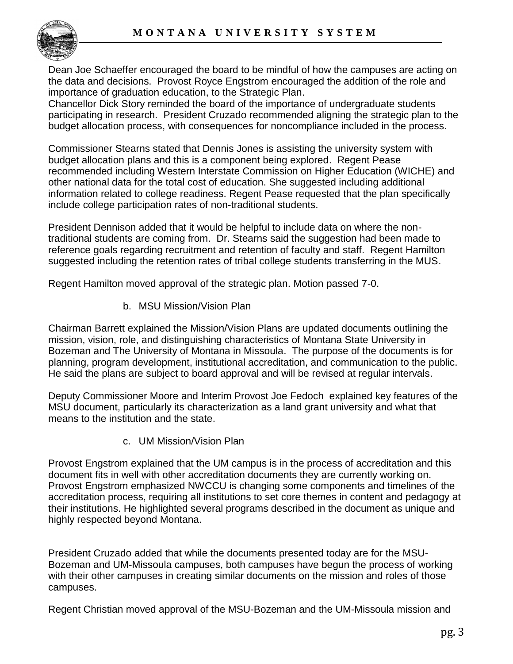

Dean Joe Schaeffer encouraged the board to be mindful of how the campuses are acting on the data and decisions. Provost Royce Engstrom encouraged the addition of the role and importance of graduation education, to the Strategic Plan.

Chancellor Dick Story reminded the board of the importance of undergraduate students participating in research. President Cruzado recommended aligning the strategic plan to the budget allocation process, with consequences for noncompliance included in the process.

Commissioner Stearns stated that Dennis Jones is assisting the university system with budget allocation plans and this is a component being explored. Regent Pease recommended including Western Interstate Commission on Higher Education (WICHE) and other national data for the total cost of education. She suggested including additional information related to college readiness. Regent Pease requested that the plan specifically include college participation rates of non-traditional students.

President Dennison added that it would be helpful to include data on where the nontraditional students are coming from. Dr. Stearns said the suggestion had been made to reference goals regarding recruitment and retention of faculty and staff. Regent Hamilton suggested including the retention rates of tribal college students transferring in the MUS.

Regent Hamilton moved approval of the strategic plan. Motion passed 7-0.

b. MSU Mission/Vision Plan

Chairman Barrett explained the Mission/Vision Plans are updated documents outlining the mission, vision, role, and distinguishing characteristics of Montana State University in Bozeman and The University of Montana in Missoula. The purpose of the documents is for planning, program development, institutional accreditation, and communication to the public. He said the plans are subject to board approval and will be revised at regular intervals.

Deputy Commissioner Moore and Interim Provost Joe Fedoch explained key features of the MSU document, particularly its characterization as a land grant university and what that means to the institution and the state.

c. UM Mission/Vision Plan

Provost Engstrom explained that the UM campus is in the process of accreditation and this document fits in well with other accreditation documents they are currently working on. Provost Engstrom emphasized NWCCU is changing some components and timelines of the accreditation process, requiring all institutions to set core themes in content and pedagogy at their institutions. He highlighted several programs described in the document as unique and highly respected beyond Montana.

President Cruzado added that while the documents presented today are for the MSU-Bozeman and UM-Missoula campuses, both campuses have begun the process of working with their other campuses in creating similar documents on the mission and roles of those campuses.

Regent Christian moved approval of the MSU-Bozeman and the UM-Missoula mission and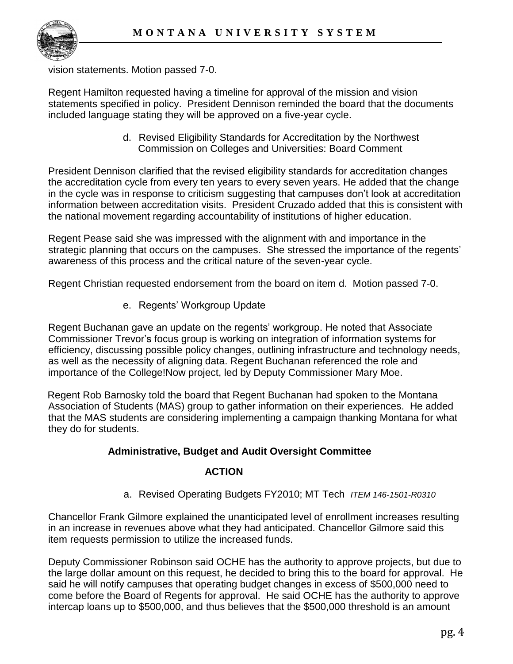

vision statements. Motion passed 7-0.

Regent Hamilton requested having a timeline for approval of the mission and vision statements specified in policy. President Dennison reminded the board that the documents included language stating they will be approved on a five-year cycle.

> d. Revised Eligibility Standards for Accreditation by the Northwest Commission on Colleges and Universities: Board Comment

President Dennison clarified that the revised eligibility standards for accreditation changes the accreditation cycle from every ten years to every seven years. He added that the change in the cycle was in response to criticism suggesting that campuses don't look at accreditation information between accreditation visits. President Cruzado added that this is consistent with the national movement regarding accountability of institutions of higher education.

Regent Pease said she was impressed with the alignment with and importance in the strategic planning that occurs on the campuses. She stressed the importance of the regents' awareness of this process and the critical nature of the seven-year cycle.

Regent Christian requested endorsement from the board on item d. Motion passed 7-0.

e. Regents' Workgroup Update

Regent Buchanan gave an update on the regents' workgroup. He noted that Associate Commissioner Trevor's focus group is working on integration of information systems for efficiency, discussing possible policy changes, outlining infrastructure and technology needs, as well as the necessity of aligning data. Regent Buchanan referenced the role and importance of the College!Now project, led by Deputy Commissioner Mary Moe.

Regent Rob Barnosky told the board that Regent Buchanan had spoken to the Montana Association of Students (MAS) group to gather information on their experiences. He added that the MAS students are considering implementing a campaign thanking Montana for what they do for students.

# **Administrative, Budget and Audit Oversight Committee**

# **ACTION**

a. Revised Operating Budgets FY2010; MT Tech *ITEM 146-1501-R0310*

Chancellor Frank Gilmore explained the unanticipated level of enrollment increases resulting in an increase in revenues above what they had anticipated. Chancellor Gilmore said this item requests permission to utilize the increased funds.

Deputy Commissioner Robinson said OCHE has the authority to approve projects, but due to the large dollar amount on this request, he decided to bring this to the board for approval. He said he will notify campuses that operating budget changes in excess of \$500,000 need to come before the Board of Regents for approval. He said OCHE has the authority to approve intercap loans up to \$500,000, and thus believes that the \$500,000 threshold is an amount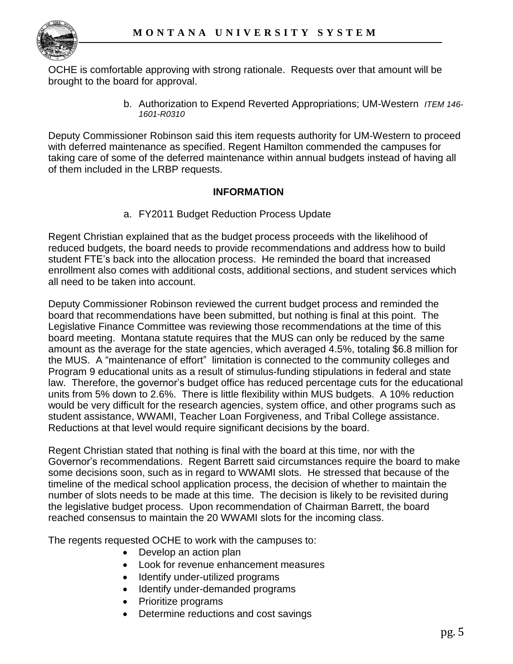

OCHE is comfortable approving with strong rationale. Requests over that amount will be brought to the board for approval.

> b. Authorization to Expend Reverted Appropriations; UM-Western *ITEM 146- 1601-R0310*

Deputy Commissioner Robinson said this item requests authority for UM-Western to proceed with deferred maintenance as specified. Regent Hamilton commended the campuses for taking care of some of the deferred maintenance within annual budgets instead of having all of them included in the LRBP requests.

# **INFORMATION**

a. FY2011 Budget Reduction Process Update

Regent Christian explained that as the budget process proceeds with the likelihood of reduced budgets, the board needs to provide recommendations and address how to build student FTE's back into the allocation process. He reminded the board that increased enrollment also comes with additional costs, additional sections, and student services which all need to be taken into account.

Deputy Commissioner Robinson reviewed the current budget process and reminded the board that recommendations have been submitted, but nothing is final at this point. The Legislative Finance Committee was reviewing those recommendations at the time of this board meeting. Montana statute requires that the MUS can only be reduced by the same amount as the average for the state agencies, which averaged 4.5%, totaling \$6.8 million for the MUS. A "maintenance of effort" limitation is connected to the community colleges and Program 9 educational units as a result of stimulus-funding stipulations in federal and state law. Therefore, the governor's budget office has reduced percentage cuts for the educational units from 5% down to 2.6%. There is little flexibility within MUS budgets. A 10% reduction would be very difficult for the research agencies, system office, and other programs such as student assistance, WWAMI, Teacher Loan Forgiveness, and Tribal College assistance. Reductions at that level would require significant decisions by the board.

Regent Christian stated that nothing is final with the board at this time, nor with the Governor's recommendations. Regent Barrett said circumstances require the board to make some decisions soon, such as in regard to WWAMI slots. He stressed that because of the timeline of the medical school application process, the decision of whether to maintain the number of slots needs to be made at this time. The decision is likely to be revisited during the legislative budget process. Upon recommendation of Chairman Barrett, the board reached consensus to maintain the 20 WWAMI slots for the incoming class.

The regents requested OCHE to work with the campuses to:

- Develop an action plan
- Look for revenue enhancement measures
- Identify under-utilized programs
- Identify under-demanded programs
- Prioritize programs
- Determine reductions and cost savings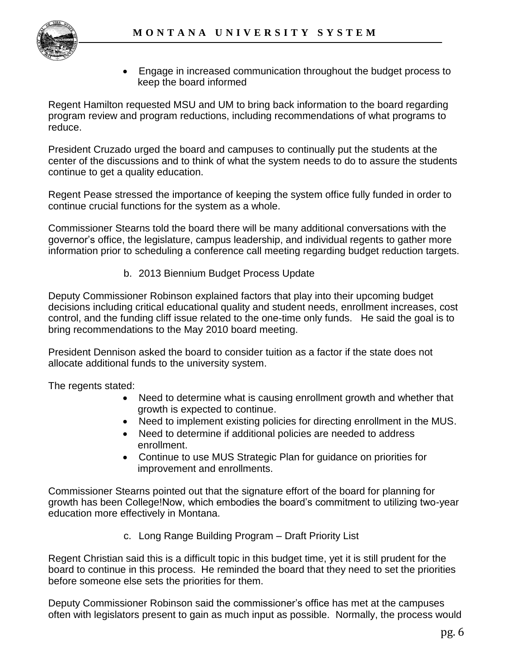

 Engage in increased communication throughout the budget process to keep the board informed

Regent Hamilton requested MSU and UM to bring back information to the board regarding program review and program reductions, including recommendations of what programs to reduce.

President Cruzado urged the board and campuses to continually put the students at the center of the discussions and to think of what the system needs to do to assure the students continue to get a quality education.

Regent Pease stressed the importance of keeping the system office fully funded in order to continue crucial functions for the system as a whole.

Commissioner Stearns told the board there will be many additional conversations with the governor's office, the legislature, campus leadership, and individual regents to gather more information prior to scheduling a conference call meeting regarding budget reduction targets.

b. 2013 Biennium Budget Process Update

Deputy Commissioner Robinson explained factors that play into their upcoming budget decisions including critical educational quality and student needs, enrollment increases, cost control, and the funding cliff issue related to the one-time only funds. He said the goal is to bring recommendations to the May 2010 board meeting.

President Dennison asked the board to consider tuition as a factor if the state does not allocate additional funds to the university system.

The regents stated:

- Need to determine what is causing enrollment growth and whether that growth is expected to continue.
- Need to implement existing policies for directing enrollment in the MUS.
- Need to determine if additional policies are needed to address enrollment.
- Continue to use MUS Strategic Plan for guidance on priorities for improvement and enrollments.

Commissioner Stearns pointed out that the signature effort of the board for planning for growth has been College!Now, which embodies the board's commitment to utilizing two-year education more effectively in Montana.

c. Long Range Building Program – Draft Priority List

Regent Christian said this is a difficult topic in this budget time, yet it is still prudent for the board to continue in this process. He reminded the board that they need to set the priorities before someone else sets the priorities for them.

Deputy Commissioner Robinson said the commissioner's office has met at the campuses often with legislators present to gain as much input as possible. Normally, the process would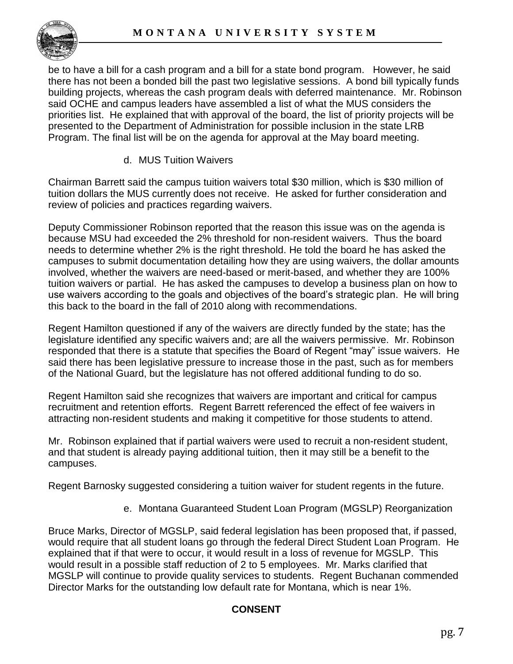be to have a bill for a cash program and a bill for a state bond program. However, he said there has not been a bonded bill the past two legislative sessions. A bond bill typically funds building projects, whereas the cash program deals with deferred maintenance. Mr. Robinson said OCHE and campus leaders have assembled a list of what the MUS considers the priorities list. He explained that with approval of the board, the list of priority projects will be presented to the Department of Administration for possible inclusion in the state LRB Program. The final list will be on the agenda for approval at the May board meeting.

d. MUS Tuition Waivers

Chairman Barrett said the campus tuition waivers total \$30 million, which is \$30 million of tuition dollars the MUS currently does not receive. He asked for further consideration and review of policies and practices regarding waivers.

Deputy Commissioner Robinson reported that the reason this issue was on the agenda is because MSU had exceeded the 2% threshold for non-resident waivers. Thus the board needs to determine whether 2% is the right threshold. He told the board he has asked the campuses to submit documentation detailing how they are using waivers, the dollar amounts involved, whether the waivers are need-based or merit-based, and whether they are 100% tuition waivers or partial. He has asked the campuses to develop a business plan on how to use waivers according to the goals and objectives of the board's strategic plan. He will bring this back to the board in the fall of 2010 along with recommendations.

Regent Hamilton questioned if any of the waivers are directly funded by the state; has the legislature identified any specific waivers and; are all the waivers permissive. Mr. Robinson responded that there is a statute that specifies the Board of Regent "may" issue waivers. He said there has been legislative pressure to increase those in the past, such as for members of the National Guard, but the legislature has not offered additional funding to do so.

Regent Hamilton said she recognizes that waivers are important and critical for campus recruitment and retention efforts. Regent Barrett referenced the effect of fee waivers in attracting non-resident students and making it competitive for those students to attend.

Mr. Robinson explained that if partial waivers were used to recruit a non-resident student, and that student is already paying additional tuition, then it may still be a benefit to the campuses.

Regent Barnosky suggested considering a tuition waiver for student regents in the future.

e. Montana Guaranteed Student Loan Program (MGSLP) Reorganization

Bruce Marks, Director of MGSLP, said federal legislation has been proposed that, if passed, would require that all student loans go through the federal Direct Student Loan Program. He explained that if that were to occur, it would result in a loss of revenue for MGSLP. This would result in a possible staff reduction of 2 to 5 employees. Mr. Marks clarified that MGSLP will continue to provide quality services to students. Regent Buchanan commended Director Marks for the outstanding low default rate for Montana, which is near 1%.

# **CONSENT**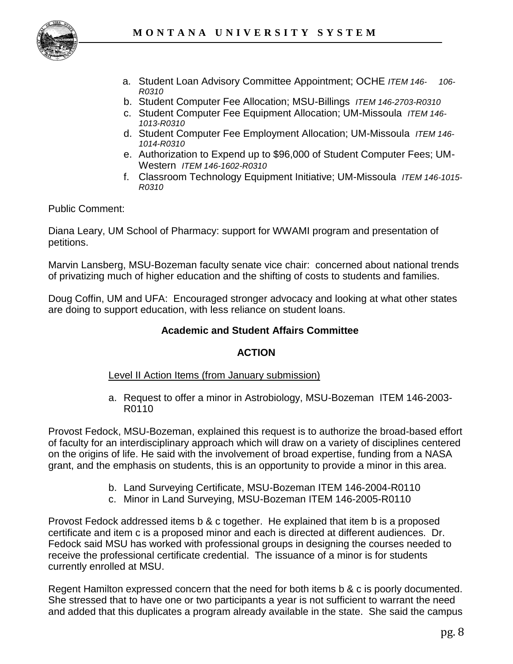

- a. Student Loan Advisory Committee Appointment; OCHE *ITEM 146- 106- R0310*
- b. Student Computer Fee Allocation; MSU-Billings *ITEM 146-2703-R0310*
- c. Student Computer Fee Equipment Allocation; UM-Missoula *ITEM 146- 1013-R0310*
- d. Student Computer Fee Employment Allocation; UM-Missoula *ITEM 146- 1014-R0310*
- e. Authorization to Expend up to \$96,000 of Student Computer Fees; UM-Western *ITEM 146-1602-R0310*
- f. Classroom Technology Equipment Initiative; UM-Missoula *ITEM 146-1015- R0310*

Public Comment:

Diana Leary, UM School of Pharmacy: support for WWAMI program and presentation of petitions.

Marvin Lansberg, MSU-Bozeman faculty senate vice chair: concerned about national trends of privatizing much of higher education and the shifting of costs to students and families.

Doug Coffin, UM and UFA: Encouraged stronger advocacy and looking at what other states are doing to support education, with less reliance on student loans.

# **Academic and Student Affairs Committee**

## **ACTION**

## Level II Action Items (from January submission)

a. Request to offer a minor in Astrobiology, MSU-Bozeman ITEM 146-2003- R0110

Provost Fedock, MSU-Bozeman, explained this request is to authorize the broad-based effort of faculty for an interdisciplinary approach which will draw on a variety of disciplines centered on the origins of life. He said with the involvement of broad expertise, funding from a NASA grant, and the emphasis on students, this is an opportunity to provide a minor in this area.

- b. Land Surveying Certificate, MSU-Bozeman ITEM 146-2004-R0110
- c. Minor in Land Surveying, MSU-Bozeman ITEM 146-2005-R0110

Provost Fedock addressed items b & c together. He explained that item b is a proposed certificate and item c is a proposed minor and each is directed at different audiences. Dr. Fedock said MSU has worked with professional groups in designing the courses needed to receive the professional certificate credential. The issuance of a minor is for students currently enrolled at MSU.

Regent Hamilton expressed concern that the need for both items b & c is poorly documented. She stressed that to have one or two participants a year is not sufficient to warrant the need and added that this duplicates a program already available in the state. She said the campus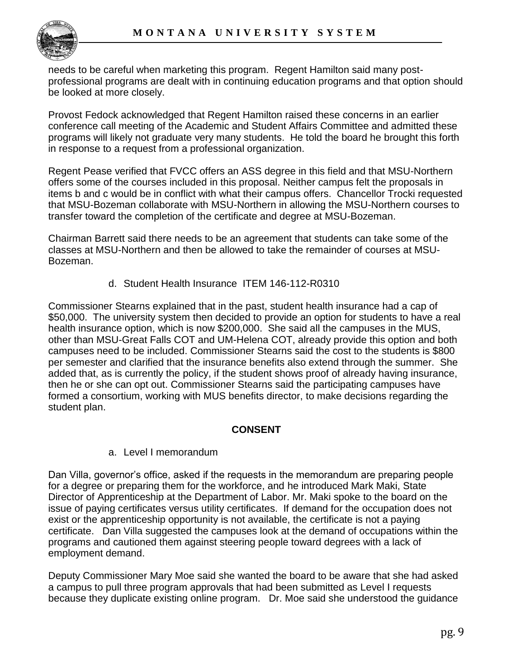needs to be careful when marketing this program. Regent Hamilton said many postprofessional programs are dealt with in continuing education programs and that option should be looked at more closely.

Provost Fedock acknowledged that Regent Hamilton raised these concerns in an earlier conference call meeting of the Academic and Student Affairs Committee and admitted these programs will likely not graduate very many students. He told the board he brought this forth in response to a request from a professional organization.

Regent Pease verified that FVCC offers an ASS degree in this field and that MSU-Northern offers some of the courses included in this proposal. Neither campus felt the proposals in items b and c would be in conflict with what their campus offers. Chancellor Trocki requested that MSU-Bozeman collaborate with MSU-Northern in allowing the MSU-Northern courses to transfer toward the completion of the certificate and degree at MSU-Bozeman.

Chairman Barrett said there needs to be an agreement that students can take some of the classes at MSU-Northern and then be allowed to take the remainder of courses at MSU-Bozeman.

d. Student Health Insurance ITEM 146-112-R0310

Commissioner Stearns explained that in the past, student health insurance had a cap of \$50,000. The university system then decided to provide an option for students to have a real health insurance option, which is now \$200,000. She said all the campuses in the MUS, other than MSU-Great Falls COT and UM-Helena COT, already provide this option and both campuses need to be included. Commissioner Stearns said the cost to the students is \$800 per semester and clarified that the insurance benefits also extend through the summer. She added that, as is currently the policy, if the student shows proof of already having insurance, then he or she can opt out. Commissioner Stearns said the participating campuses have formed a consortium, working with MUS benefits director, to make decisions regarding the student plan.

# **CONSENT**

# a. Level I memorandum

Dan Villa, governor's office, asked if the requests in the memorandum are preparing people for a degree or preparing them for the workforce, and he introduced Mark Maki, State Director of Apprenticeship at the Department of Labor. Mr. Maki spoke to the board on the issue of paying certificates versus utility certificates. If demand for the occupation does not exist or the apprenticeship opportunity is not available, the certificate is not a paying certificate. Dan Villa suggested the campuses look at the demand of occupations within the programs and cautioned them against steering people toward degrees with a lack of employment demand.

Deputy Commissioner Mary Moe said she wanted the board to be aware that she had asked a campus to pull three program approvals that had been submitted as Level I requests because they duplicate existing online program. Dr. Moe said she understood the guidance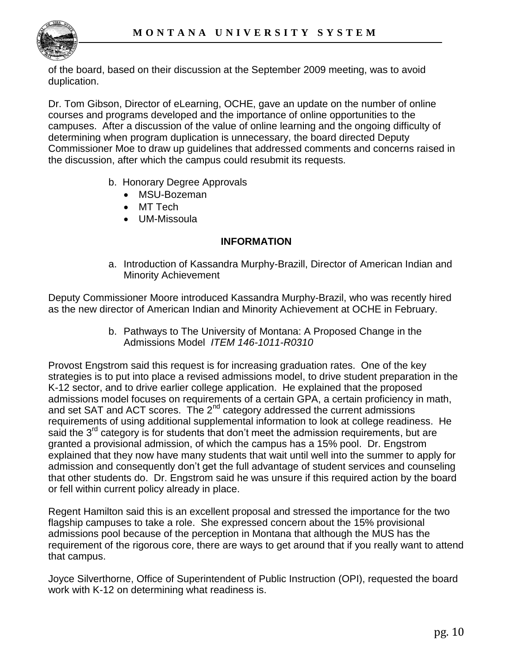

of the board, based on their discussion at the September 2009 meeting, was to avoid duplication.

Dr. Tom Gibson, Director of eLearning, OCHE, gave an update on the number of online courses and programs developed and the importance of online opportunities to the campuses. After a discussion of the value of online learning and the ongoing difficulty of determining when program duplication is unnecessary, the board directed Deputy Commissioner Moe to draw up guidelines that addressed comments and concerns raised in the discussion, after which the campus could resubmit its requests.

- b. Honorary Degree Approvals
	- MSU-Bozeman
	- MT Tech
	- UM-Missoula

## **INFORMATION**

a. Introduction of Kassandra Murphy-Brazill, Director of American Indian and Minority Achievement

Deputy Commissioner Moore introduced Kassandra Murphy-Brazil, who was recently hired as the new director of American Indian and Minority Achievement at OCHE in February.

> b. Pathways to The University of Montana: A Proposed Change in the Admissions Model *ITEM 146-1011-R0310*

Provost Engstrom said this request is for increasing graduation rates. One of the key strategies is to put into place a revised admissions model, to drive student preparation in the K-12 sector, and to drive earlier college application. He explained that the proposed admissions model focuses on requirements of a certain GPA, a certain proficiency in math, and set SAT and ACT scores. The 2<sup>nd</sup> category addressed the current admissions requirements of using additional supplemental information to look at college readiness. He said the  $3<sup>rd</sup>$  category is for students that don't meet the admission requirements, but are granted a provisional admission, of which the campus has a 15% pool. Dr. Engstrom explained that they now have many students that wait until well into the summer to apply for admission and consequently don't get the full advantage of student services and counseling that other students do. Dr. Engstrom said he was unsure if this required action by the board or fell within current policy already in place.

Regent Hamilton said this is an excellent proposal and stressed the importance for the two flagship campuses to take a role. She expressed concern about the 15% provisional admissions pool because of the perception in Montana that although the MUS has the requirement of the rigorous core, there are ways to get around that if you really want to attend that campus.

Joyce Silverthorne, Office of Superintendent of Public Instruction (OPI), requested the board work with K-12 on determining what readiness is.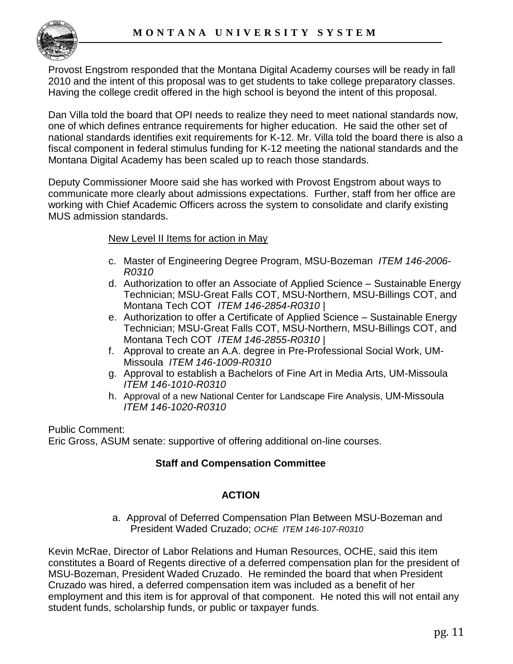

Provost Engstrom responded that the Montana Digital Academy courses will be ready in fall 2010 and the intent of this proposal was to get students to take college preparatory classes. Having the college credit offered in the high school is beyond the intent of this proposal.

Dan Villa told the board that OPI needs to realize they need to meet national standards now, one of which defines entrance requirements for higher education. He said the other set of national standards identifies exit requirements for K-12. Mr. Villa told the board there is also a fiscal component in federal stimulus funding for K-12 meeting the national standards and the Montana Digital Academy has been scaled up to reach those standards.

Deputy Commissioner Moore said she has worked with Provost Engstrom about ways to communicate more clearly about admissions expectations. Further, staff from her office are working with Chief Academic Officers across the system to consolidate and clarify existing MUS admission standards.

# New Level II Items for action in May

- c. Master of Engineering Degree Program, MSU-Bozeman *ITEM 146-2006- R0310*
- d. Authorization to offer an Associate of Applied Science Sustainable Energy Technician; MSU-Great Falls COT, MSU-Northern, MSU-Billings COT, and Montana Tech COT *ITEM 146-2854-R0310 |*
- e. Authorization to offer a Certificate of Applied Science Sustainable Energy Technician; MSU-Great Falls COT, MSU-Northern, MSU-Billings COT, and Montana Tech COT *ITEM 146-2855-R0310 |*
- f. Approval to create an A.A. degree in Pre-Professional Social Work, UM-Missoula *ITEM 146-1009-R0310*
- g. Approval to establish a Bachelors of Fine Art in Media Arts, UM-Missoula *ITEM 146-1010-R0310*
- h. Approval of a new National Center for Landscape Fire Analysis, UM-Missoula *ITEM 146-1020-R0310*

Public Comment: Eric Gross, ASUM senate: supportive of offering additional on-line courses.

# **Staff and Compensation Committee**

## **ACTION**

a. Approval of Deferred Compensation Plan Between MSU-Bozeman and President Waded Cruzado; *OCHE ITEM 146-107-R0310*

Kevin McRae, Director of Labor Relations and Human Resources, OCHE, said this item constitutes a Board of Regents directive of a deferred compensation plan for the president of MSU-Bozeman, President Waded Cruzado. He reminded the board that when President Cruzado was hired, a deferred compensation item was included as a benefit of her employment and this item is for approval of that component. He noted this will not entail any student funds, scholarship funds, or public or taxpayer funds.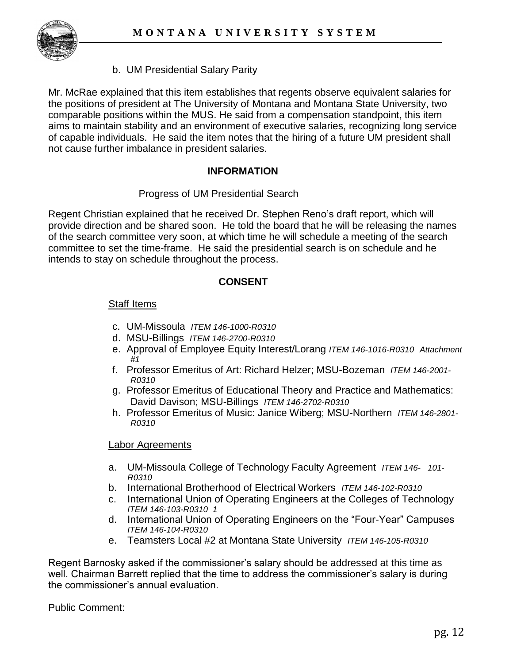

b. UM Presidential Salary Parity

Mr. McRae explained that this item establishes that regents observe equivalent salaries for the positions of president at The University of Montana and Montana State University, two comparable positions within the MUS. He said from a compensation standpoint, this item aims to maintain stability and an environment of executive salaries, recognizing long service of capable individuals. He said the item notes that the hiring of a future UM president shall not cause further imbalance in president salaries.

# **INFORMATION**

## Progress of UM Presidential Search

Regent Christian explained that he received Dr. Stephen Reno's draft report, which will provide direction and be shared soon. He told the board that he will be releasing the names of the search committee very soon, at which time he will schedule a meeting of the search committee to set the time-frame. He said the presidential search is on schedule and he intends to stay on schedule throughout the process.

## **CONSENT**

## Staff Items

- c. UM-Missoula *ITEM 146-1000-R0310*
- d. MSU-Billings *ITEM 146-2700-R0310*
- e. Approval of Employee Equity Interest/Lorang *ITEM 146-1016-R0310 Attachment #1*
- f. Professor Emeritus of Art: Richard Helzer; MSU-Bozeman *ITEM 146-2001- R0310*
- g. Professor Emeritus of Educational Theory and Practice and Mathematics: David Davison; MSU-Billings *ITEM 146-2702-R0310*
- h. Professor Emeritus of Music: Janice Wiberg; MSU-Northern *ITEM 146-2801- R0310*

### Labor Agreements

- a. UM-Missoula College of Technology Faculty Agreement *ITEM 146- 101- R0310*
- b. International Brotherhood of Electrical Workers *ITEM 146-102-R0310*
- c. International Union of Operating Engineers at the Colleges of Technology *ITEM 146-103-R0310 1*
- d. International Union of Operating Engineers on the "Four-Year" Campuses *ITEM 146-104-R0310*
- e. Teamsters Local #2 at Montana State University *ITEM 146-105-R0310*

Regent Barnosky asked if the commissioner's salary should be addressed at this time as well. Chairman Barrett replied that the time to address the commissioner's salary is during the commissioner's annual evaluation.

Public Comment: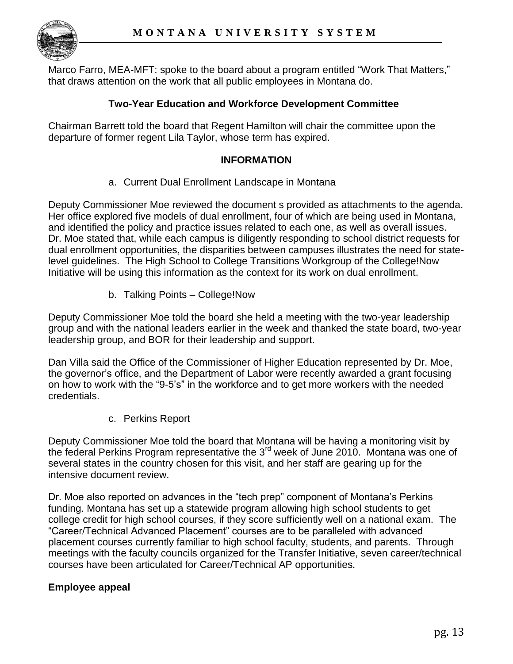

Marco Farro, MEA-MFT: spoke to the board about a program entitled "Work That Matters," that draws attention on the work that all public employees in Montana do.

# **Two-Year Education and Workforce Development Committee**

Chairman Barrett told the board that Regent Hamilton will chair the committee upon the departure of former regent Lila Taylor, whose term has expired.

### **INFORMATION**

a. Current Dual Enrollment Landscape in Montana

Deputy Commissioner Moe reviewed the document s provided as attachments to the agenda. Her office explored five models of dual enrollment, four of which are being used in Montana, and identified the policy and practice issues related to each one, as well as overall issues. Dr. Moe stated that, while each campus is diligently responding to school district requests for dual enrollment opportunities, the disparities between campuses illustrates the need for statelevel guidelines. The High School to College Transitions Workgroup of the College!Now Initiative will be using this information as the context for its work on dual enrollment.

b. Talking Points – College!Now

Deputy Commissioner Moe told the board she held a meeting with the two-year leadership group and with the national leaders earlier in the week and thanked the state board, two-year leadership group, and BOR for their leadership and support.

Dan Villa said the Office of the Commissioner of Higher Education represented by Dr. Moe, the governor's office, and the Department of Labor were recently awarded a grant focusing on how to work with the "9-5's" in the workforce and to get more workers with the needed credentials.

c. Perkins Report

Deputy Commissioner Moe told the board that Montana will be having a monitoring visit by the federal Perkins Program representative the 3<sup>rd</sup> week of June 2010. Montana was one of several states in the country chosen for this visit, and her staff are gearing up for the intensive document review.

Dr. Moe also reported on advances in the "tech prep" component of Montana's Perkins funding. Montana has set up a statewide program allowing high school students to get college credit for high school courses, if they score sufficiently well on a national exam. The "Career/Technical Advanced Placement" courses are to be paralleled with advanced placement courses currently familiar to high school faculty, students, and parents. Through meetings with the faculty councils organized for the Transfer Initiative, seven career/technical courses have been articulated for Career/Technical AP opportunities.

## **Employee appeal**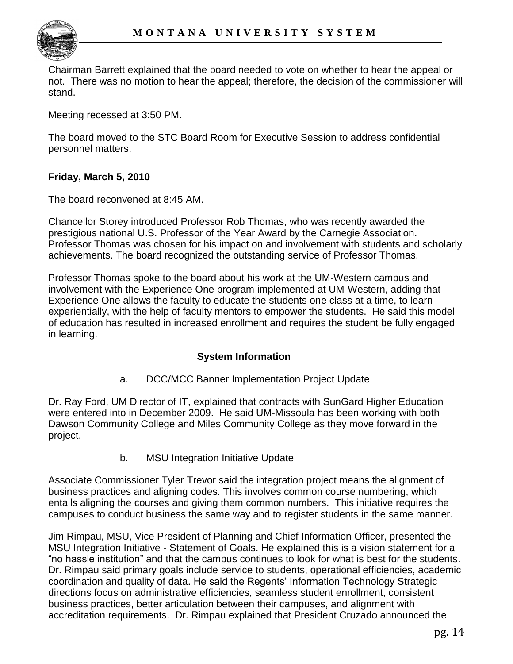

Chairman Barrett explained that the board needed to vote on whether to hear the appeal or not. There was no motion to hear the appeal; therefore, the decision of the commissioner will stand.

Meeting recessed at 3:50 PM.

The board moved to the STC Board Room for Executive Session to address confidential personnel matters.

# **Friday, March 5, 2010**

The board reconvened at 8:45 AM.

Chancellor Storey introduced Professor Rob Thomas, who was recently awarded the prestigious national U.S. Professor of the Year Award by the Carnegie Association. Professor Thomas was chosen for his impact on and involvement with students and scholarly achievements. The board recognized the outstanding service of Professor Thomas.

Professor Thomas spoke to the board about his work at the UM-Western campus and involvement with the Experience One program implemented at UM-Western, adding that Experience One allows the faculty to educate the students one class at a time, to learn experientially, with the help of faculty mentors to empower the students. He said this model of education has resulted in increased enrollment and requires the student be fully engaged in learning.

# **System Information**

a. DCC/MCC Banner Implementation Project Update

Dr. Ray Ford, UM Director of IT, explained that contracts with SunGard Higher Education were entered into in December 2009. He said UM-Missoula has been working with both Dawson Community College and Miles Community College as they move forward in the project.

b. MSU Integration Initiative Update

Associate Commissioner Tyler Trevor said the integration project means the alignment of business practices and aligning codes. This involves common course numbering, which entails aligning the courses and giving them common numbers. This initiative requires the campuses to conduct business the same way and to register students in the same manner.

Jim Rimpau, MSU, Vice President of Planning and Chief Information Officer, presented the MSU Integration Initiative - Statement of Goals. He explained this is a vision statement for a "no hassle institution" and that the campus continues to look for what is best for the students. Dr. Rimpau said primary goals include service to students, operational efficiencies, academic coordination and quality of data. He said the Regents' Information Technology Strategic directions focus on administrative efficiencies, seamless student enrollment, consistent business practices, better articulation between their campuses, and alignment with accreditation requirements. Dr. Rimpau explained that President Cruzado announced the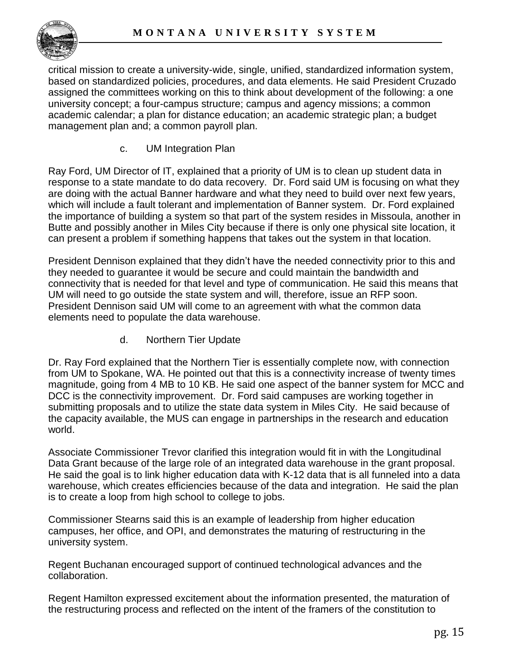

critical mission to create a university-wide, single, unified, standardized information system, based on standardized policies, procedures, and data elements. He said President Cruzado assigned the committees working on this to think about development of the following: a one university concept; a four-campus structure; campus and agency missions; a common academic calendar; a plan for distance education; an academic strategic plan; a budget management plan and; a common payroll plan.

c. UM Integration Plan

Ray Ford, UM Director of IT, explained that a priority of UM is to clean up student data in response to a state mandate to do data recovery. Dr. Ford said UM is focusing on what they are doing with the actual Banner hardware and what they need to build over next few years, which will include a fault tolerant and implementation of Banner system. Dr. Ford explained the importance of building a system so that part of the system resides in Missoula, another in Butte and possibly another in Miles City because if there is only one physical site location, it can present a problem if something happens that takes out the system in that location.

President Dennison explained that they didn't have the needed connectivity prior to this and they needed to guarantee it would be secure and could maintain the bandwidth and connectivity that is needed for that level and type of communication. He said this means that UM will need to go outside the state system and will, therefore, issue an RFP soon. President Dennison said UM will come to an agreement with what the common data elements need to populate the data warehouse.

d. Northern Tier Update

Dr. Ray Ford explained that the Northern Tier is essentially complete now, with connection from UM to Spokane, WA. He pointed out that this is a connectivity increase of twenty times magnitude, going from 4 MB to 10 KB. He said one aspect of the banner system for MCC and DCC is the connectivity improvement. Dr. Ford said campuses are working together in submitting proposals and to utilize the state data system in Miles City. He said because of the capacity available, the MUS can engage in partnerships in the research and education world.

Associate Commissioner Trevor clarified this integration would fit in with the Longitudinal Data Grant because of the large role of an integrated data warehouse in the grant proposal. He said the goal is to link higher education data with K-12 data that is all funneled into a data warehouse, which creates efficiencies because of the data and integration. He said the plan is to create a loop from high school to college to jobs.

Commissioner Stearns said this is an example of leadership from higher education campuses, her office, and OPI, and demonstrates the maturing of restructuring in the university system.

Regent Buchanan encouraged support of continued technological advances and the collaboration.

Regent Hamilton expressed excitement about the information presented, the maturation of the restructuring process and reflected on the intent of the framers of the constitution to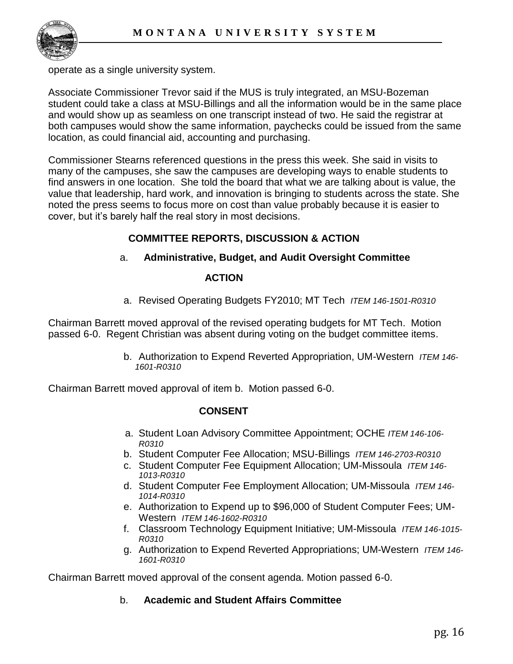

operate as a single university system.

Associate Commissioner Trevor said if the MUS is truly integrated, an MSU-Bozeman student could take a class at MSU-Billings and all the information would be in the same place and would show up as seamless on one transcript instead of two. He said the registrar at both campuses would show the same information, paychecks could be issued from the same location, as could financial aid, accounting and purchasing.

Commissioner Stearns referenced questions in the press this week. She said in visits to many of the campuses, she saw the campuses are developing ways to enable students to find answers in one location. She told the board that what we are talking about is value, the value that leadership, hard work, and innovation is bringing to students across the state. She noted the press seems to focus more on cost than value probably because it is easier to cover, but it's barely half the real story in most decisions.

# **COMMITTEE REPORTS, DISCUSSION & ACTION**

# a. **Administrative, Budget, and Audit Oversight Committee**

### **ACTION**

a. Revised Operating Budgets FY2010; MT Tech *ITEM 146-1501-R0310*

Chairman Barrett moved approval of the revised operating budgets for MT Tech. Motion passed 6-0. Regent Christian was absent during voting on the budget committee items.

> b. Authorization to Expend Reverted Appropriation, UM-Western *ITEM 146- 1601-R0310*

Chairman Barrett moved approval of item b. Motion passed 6-0.

## **CONSENT**

- a. Student Loan Advisory Committee Appointment; OCHE *ITEM 146-106- R0310*
- b. Student Computer Fee Allocation; MSU-Billings *ITEM 146-2703-R0310*
- c. Student Computer Fee Equipment Allocation; UM-Missoula *ITEM 146- 1013-R0310*
- d. Student Computer Fee Employment Allocation; UM-Missoula *ITEM 146- 1014-R0310*
- e. Authorization to Expend up to \$96,000 of Student Computer Fees; UM-Western *ITEM 146-1602-R0310*
- f. Classroom Technology Equipment Initiative; UM-Missoula *ITEM 146-1015- R0310*
- g. Authorization to Expend Reverted Appropriations; UM-Western *ITEM 146- 1601-R0310*

Chairman Barrett moved approval of the consent agenda. Motion passed 6-0.

## b. **Academic and Student Affairs Committee**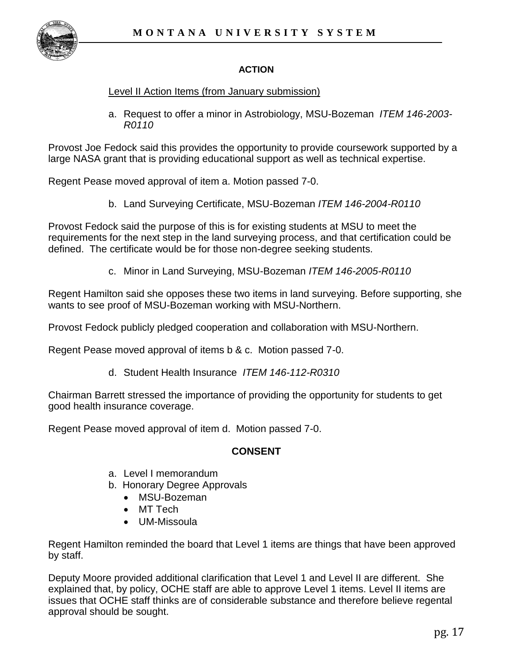

# **ACTION**

## Level II Action Items (from January submission)

a. Request to offer a minor in Astrobiology, MSU-Bozeman *ITEM 146-2003- R0110*

Provost Joe Fedock said this provides the opportunity to provide coursework supported by a large NASA grant that is providing educational support as well as technical expertise.

Regent Pease moved approval of item a. Motion passed 7-0.

b. Land Surveying Certificate, MSU-Bozeman *ITEM 146-2004-R0110*

Provost Fedock said the purpose of this is for existing students at MSU to meet the requirements for the next step in the land surveying process, and that certification could be defined. The certificate would be for those non-degree seeking students.

c. Minor in Land Surveying, MSU-Bozeman *ITEM 146-2005-R0110*

Regent Hamilton said she opposes these two items in land surveying. Before supporting, she wants to see proof of MSU-Bozeman working with MSU-Northern.

Provost Fedock publicly pledged cooperation and collaboration with MSU-Northern.

Regent Pease moved approval of items b & c. Motion passed 7-0.

d. Student Health Insurance *ITEM 146-112-R0310*

Chairman Barrett stressed the importance of providing the opportunity for students to get good health insurance coverage.

Regent Pease moved approval of item d. Motion passed 7-0.

## **CONSENT**

- a. Level I memorandum
- b. Honorary Degree Approvals
	- MSU-Bozeman
	- MT Tech
	- UM-Missoula

Regent Hamilton reminded the board that Level 1 items are things that have been approved by staff.

Deputy Moore provided additional clarification that Level 1 and Level II are different. She explained that, by policy, OCHE staff are able to approve Level 1 items. Level II items are issues that OCHE staff thinks are of considerable substance and therefore believe regental approval should be sought.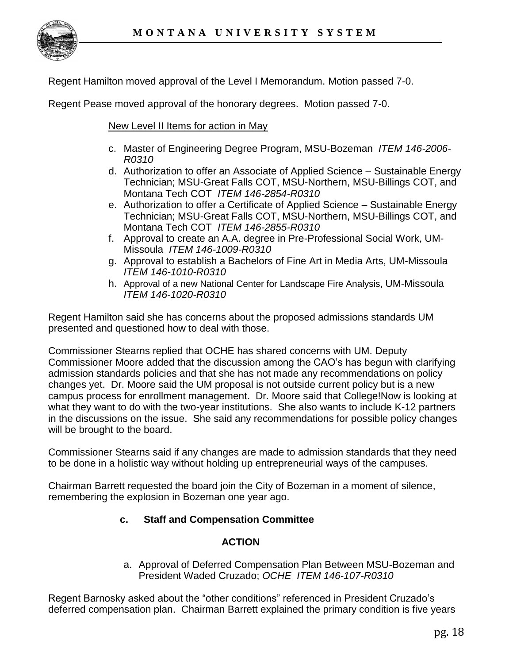

Regent Hamilton moved approval of the Level I Memorandum. Motion passed 7-0.

Regent Pease moved approval of the honorary degrees. Motion passed 7-0.

New Level II Items for action in May

- c. Master of Engineering Degree Program, MSU-Bozeman *ITEM 146-2006- R0310*
- d. Authorization to offer an Associate of Applied Science Sustainable Energy Technician; MSU-Great Falls COT, MSU-Northern, MSU-Billings COT, and Montana Tech COT *ITEM 146-2854-R0310*
- e. Authorization to offer a Certificate of Applied Science Sustainable Energy Technician; MSU-Great Falls COT, MSU-Northern, MSU-Billings COT, and Montana Tech COT *ITEM 146-2855-R0310*
- f. Approval to create an A.A. degree in Pre-Professional Social Work, UM-Missoula *ITEM 146-1009-R0310*
- g. Approval to establish a Bachelors of Fine Art in Media Arts, UM-Missoula *ITEM 146-1010-R0310*
- h. Approval of a new National Center for Landscape Fire Analysis, UM-Missoula *ITEM 146-1020-R0310*

Regent Hamilton said she has concerns about the proposed admissions standards UM presented and questioned how to deal with those.

Commissioner Stearns replied that OCHE has shared concerns with UM. Deputy Commissioner Moore added that the discussion among the CAO's has begun with clarifying admission standards policies and that she has not made any recommendations on policy changes yet. Dr. Moore said the UM proposal is not outside current policy but is a new campus process for enrollment management. Dr. Moore said that College!Now is looking at what they want to do with the two-year institutions. She also wants to include K-12 partners in the discussions on the issue. She said any recommendations for possible policy changes will be brought to the board.

Commissioner Stearns said if any changes are made to admission standards that they need to be done in a holistic way without holding up entrepreneurial ways of the campuses.

Chairman Barrett requested the board join the City of Bozeman in a moment of silence, remembering the explosion in Bozeman one year ago.

# **c. Staff and Compensation Committee**

## **ACTION**

a. Approval of Deferred Compensation Plan Between MSU-Bozeman and President Waded Cruzado; *OCHE ITEM 146-107-R0310*

Regent Barnosky asked about the "other conditions" referenced in President Cruzado's deferred compensation plan. Chairman Barrett explained the primary condition is five years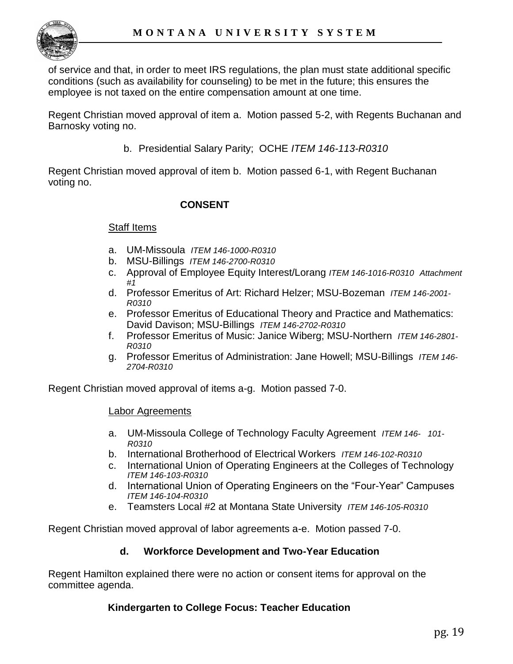

of service and that, in order to meet IRS regulations, the plan must state additional specific conditions (such as availability for counseling) to be met in the future; this ensures the employee is not taxed on the entire compensation amount at one time.

Regent Christian moved approval of item a. Motion passed 5-2, with Regents Buchanan and Barnosky voting no.

b. Presidential Salary Parity; OCHE *ITEM 146-113-R0310*

Regent Christian moved approval of item b. Motion passed 6-1, with Regent Buchanan voting no.

# **CONSENT**

## Staff Items

- a. UM-Missoula *ITEM 146-1000-R0310*
- b. MSU-Billings *ITEM 146-2700-R0310*
- c. Approval of Employee Equity Interest/Lorang *ITEM 146-1016-R0310 Attachment #1*
- d. Professor Emeritus of Art: Richard Helzer; MSU-Bozeman *ITEM 146-2001- R0310*
- e. Professor Emeritus of Educational Theory and Practice and Mathematics: David Davison; MSU-Billings *ITEM 146-2702-R0310*
- f. Professor Emeritus of Music: Janice Wiberg; MSU-Northern *ITEM 146-2801- R0310*
- g. Professor Emeritus of Administration: Jane Howell; MSU-Billings *ITEM 146- 2704-R0310*

Regent Christian moved approval of items a-g. Motion passed 7-0.

### Labor Agreements

- a. UM-Missoula College of Technology Faculty Agreement *ITEM 146- 101- R0310*
- b. International Brotherhood of Electrical Workers *ITEM 146-102-R0310*
- c. International Union of Operating Engineers at the Colleges of Technology *ITEM 146-103-R0310*
- d. International Union of Operating Engineers on the "Four-Year" Campuses *ITEM 146-104-R0310*
- e. Teamsters Local #2 at Montana State University *ITEM 146-105-R0310*

Regent Christian moved approval of labor agreements a-e. Motion passed 7-0.

## **d. Workforce Development and Two-Year Education**

Regent Hamilton explained there were no action or consent items for approval on the committee agenda.

## **Kindergarten to College Focus: Teacher Education**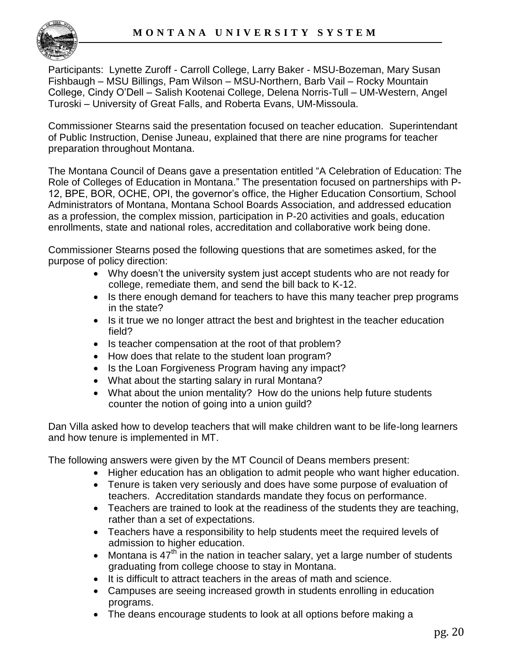

Participants: Lynette Zuroff - Carroll College, Larry Baker - MSU-Bozeman, Mary Susan Fishbaugh – MSU Billings, Pam Wilson – MSU-Northern, Barb Vail – Rocky Mountain College, Cindy O'Dell – Salish Kootenai College, Delena Norris-Tull – UM-Western, Angel Turoski – University of Great Falls, and Roberta Evans, UM-Missoula.

Commissioner Stearns said the presentation focused on teacher education. Superintendant of Public Instruction, Denise Juneau, explained that there are nine programs for teacher preparation throughout Montana.

The Montana Council of Deans gave a presentation entitled "A Celebration of Education: The Role of Colleges of Education in Montana." The presentation focused on partnerships with P-12, BPE, BOR, OCHE, OPI, the governor's office, the Higher Education Consortium, School Administrators of Montana, Montana School Boards Association, and addressed education as a profession, the complex mission, participation in P-20 activities and goals, education enrollments, state and national roles, accreditation and collaborative work being done.

Commissioner Stearns posed the following questions that are sometimes asked, for the purpose of policy direction:

- Why doesn't the university system just accept students who are not ready for college, remediate them, and send the bill back to K-12.
- Is there enough demand for teachers to have this many teacher prep programs in the state?
- Is it true we no longer attract the best and brightest in the teacher education field?
- Is teacher compensation at the root of that problem?
- How does that relate to the student loan program?
- Is the Loan Forgiveness Program having any impact?
- What about the starting salary in rural Montana?
- What about the union mentality? How do the unions help future students counter the notion of going into a union guild?

Dan Villa asked how to develop teachers that will make children want to be life-long learners and how tenure is implemented in MT.

The following answers were given by the MT Council of Deans members present:

- Higher education has an obligation to admit people who want higher education.
- Tenure is taken very seriously and does have some purpose of evaluation of teachers. Accreditation standards mandate they focus on performance.
- Teachers are trained to look at the readiness of the students they are teaching, rather than a set of expectations.
- Teachers have a responsibility to help students meet the required levels of admission to higher education.
- Montana is  $47^{\text{th}}$  in the nation in teacher salary, yet a large number of students graduating from college choose to stay in Montana.
- It is difficult to attract teachers in the areas of math and science.
- Campuses are seeing increased growth in students enrolling in education programs.
- The deans encourage students to look at all options before making a